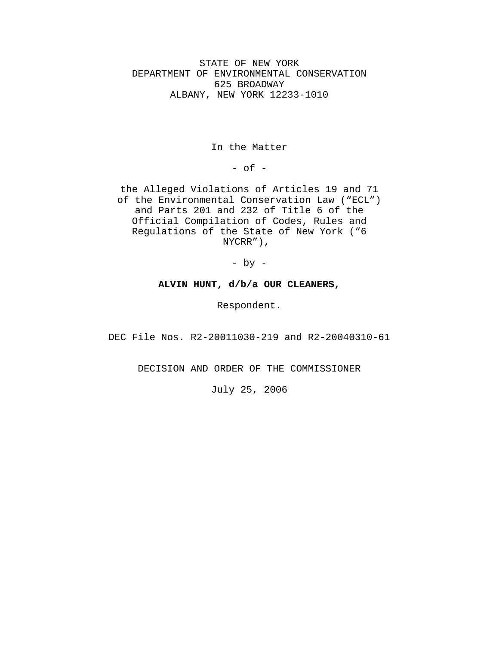STATE OF NEW YORK DEPARTMENT OF ENVIRONMENTAL CONSERVATION 625 BROADWAY ALBANY, NEW YORK 12233-1010

In the Matter

 $-$  of  $-$ 

the Alleged Violations of Articles 19 and 71 of the Environmental Conservation Law ("ECL") and Parts 201 and 232 of Title 6 of the Official Compilation of Codes, Rules and Regulations of the State of New York ("6 NYCRR"),

- by -

## **ALVIN HUNT, d/b/a OUR CLEANERS,**

Respondent.

DEC File Nos. R2-20011030-219 and R2-20040310-61

DECISION AND ORDER OF THE COMMISSIONER

July 25, 2006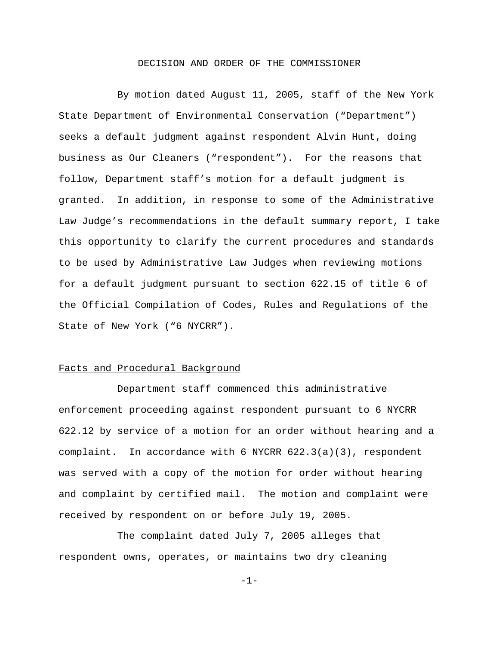## DECISION AND ORDER OF THE COMMISSIONER

By motion dated August 11, 2005, staff of the New York State Department of Environmental Conservation ("Department") seeks a default judgment against respondent Alvin Hunt, doing business as Our Cleaners ("respondent"). For the reasons that follow, Department staff's motion for a default judgment is granted. In addition, in response to some of the Administrative Law Judge's recommendations in the default summary report, I take this opportunity to clarify the current procedures and standards to be used by Administrative Law Judges when reviewing motions for a default judgment pursuant to section 622.15 of title 6 of the Official Compilation of Codes, Rules and Regulations of the State of New York ("6 NYCRR").

# Facts and Procedural Background

Department staff commenced this administrative enforcement proceeding against respondent pursuant to 6 NYCRR 622.12 by service of a motion for an order without hearing and a complaint. In accordance with 6 NYCRR 622.3(a)(3), respondent was served with a copy of the motion for order without hearing and complaint by certified mail. The motion and complaint were received by respondent on or before July 19, 2005.

The complaint dated July 7, 2005 alleges that respondent owns, operates, or maintains two dry cleaning

-1-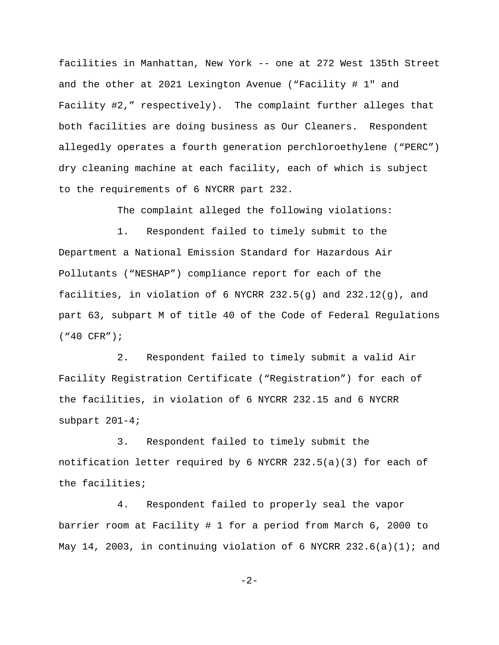facilities in Manhattan, New York -- one at 272 West 135th Street and the other at 2021 Lexington Avenue ("Facility # 1" and Facility #2," respectively). The complaint further alleges that both facilities are doing business as Our Cleaners. Respondent allegedly operates a fourth generation perchloroethylene ("PERC") dry cleaning machine at each facility, each of which is subject to the requirements of 6 NYCRR part 232.

The complaint alleged the following violations:

1. Respondent failed to timely submit to the Department a National Emission Standard for Hazardous Air Pollutants ("NESHAP") compliance report for each of the facilities, in violation of 6 NYCRR 232.5(g) and 232.12(g), and part 63, subpart M of title 40 of the Code of Federal Regulations ("40 CFR");

2. Respondent failed to timely submit a valid Air Facility Registration Certificate ("Registration") for each of the facilities, in violation of 6 NYCRR 232.15 and 6 NYCRR subpart 201-4;

3. Respondent failed to timely submit the notification letter required by 6 NYCRR 232.5(a)(3) for each of the facilities;

4. Respondent failed to properly seal the vapor barrier room at Facility # 1 for a period from March 6, 2000 to May 14, 2003, in continuing violation of 6 NYCRR 232.6(a)(1); and

-2-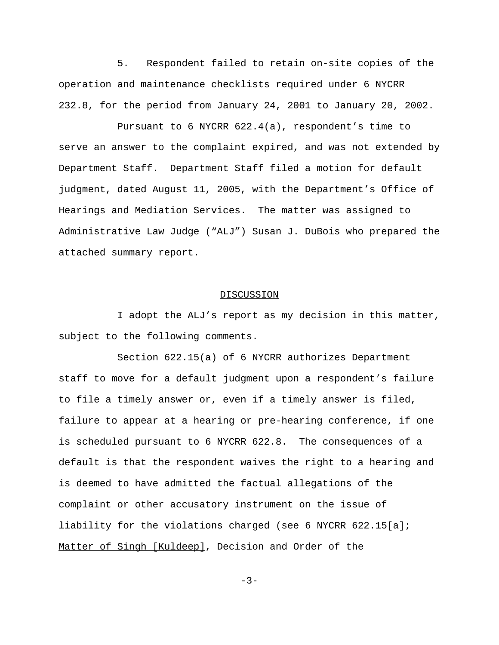5. Respondent failed to retain on-site copies of the operation and maintenance checklists required under 6 NYCRR 232.8, for the period from January 24, 2001 to January 20, 2002.

Pursuant to 6 NYCRR 622.4(a), respondent's time to serve an answer to the complaint expired, and was not extended by Department Staff. Department Staff filed a motion for default judgment, dated August 11, 2005, with the Department's Office of Hearings and Mediation Services. The matter was assigned to Administrative Law Judge ("ALJ") Susan J. DuBois who prepared the attached summary report.

## **DISCUSSION**

I adopt the ALJ's report as my decision in this matter, subject to the following comments.

Section 622.15(a) of 6 NYCRR authorizes Department staff to move for a default judgment upon a respondent's failure to file a timely answer or, even if a timely answer is filed, failure to appear at a hearing or pre-hearing conference, if one is scheduled pursuant to 6 NYCRR 622.8. The consequences of a default is that the respondent waives the right to a hearing and is deemed to have admitted the factual allegations of the complaint or other accusatory instrument on the issue of liability for the violations charged (see 6 NYCRR 622.15[a]; Matter of Singh [Kuldeep], Decision and Order of the

 $-3-$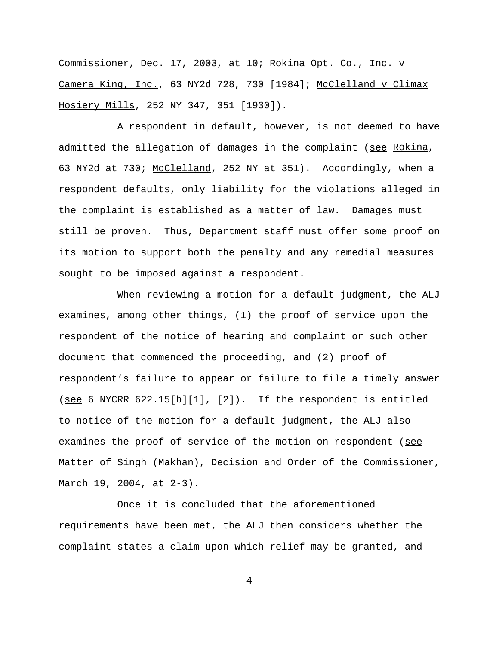Commissioner, Dec. 17, 2003, at 10; Rokina Opt. Co., Inc. v Camera King, Inc., 63 NY2d 728, 730 [1984]; McClelland v Climax Hosiery Mills, 252 NY 347, 351 [1930]).

A respondent in default, however, is not deemed to have admitted the allegation of damages in the complaint (see Rokina, 63 NY2d at 730; McClelland, 252 NY at 351). Accordingly, when a respondent defaults, only liability for the violations alleged in the complaint is established as a matter of law. Damages must still be proven. Thus, Department staff must offer some proof on its motion to support both the penalty and any remedial measures sought to be imposed against a respondent.

When reviewing a motion for a default judgment, the ALJ examines, among other things, (1) the proof of service upon the respondent of the notice of hearing and complaint or such other document that commenced the proceeding, and (2) proof of respondent's failure to appear or failure to file a timely answer (see 6 NYCRR  $622.15[b][1]$ ,  $[2]$ ). If the respondent is entitled to notice of the motion for a default judgment, the ALJ also examines the proof of service of the motion on respondent (see Matter of Singh (Makhan), Decision and Order of the Commissioner, March 19, 2004, at 2-3).

Once it is concluded that the aforementioned requirements have been met, the ALJ then considers whether the complaint states a claim upon which relief may be granted, and

 $-4-$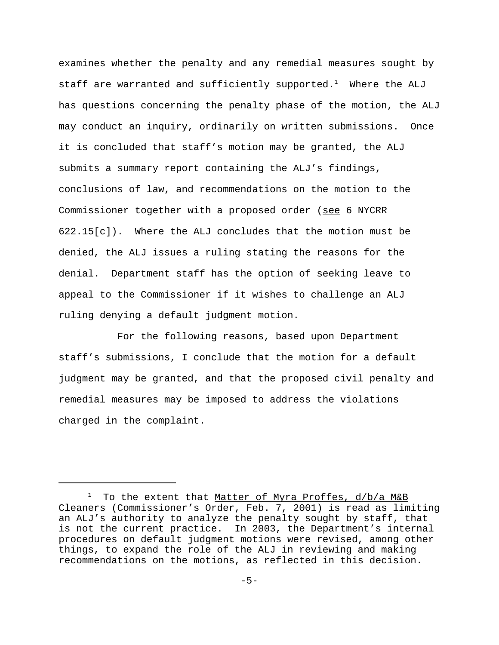examines whether the penalty and any remedial measures sought by staff are warranted and sufficiently supported. $^1$  Where the ALJ has questions concerning the penalty phase of the motion, the ALJ may conduct an inquiry, ordinarily on written submissions. Once it is concluded that staff's motion may be granted, the ALJ submits a summary report containing the ALJ's findings, conclusions of law, and recommendations on the motion to the Commissioner together with a proposed order (see 6 NYCRR 622.15[c]). Where the ALJ concludes that the motion must be denied, the ALJ issues a ruling stating the reasons for the denial. Department staff has the option of seeking leave to appeal to the Commissioner if it wishes to challenge an ALJ ruling denying a default judgment motion.

For the following reasons, based upon Department staff's submissions, I conclude that the motion for a default judgment may be granted, and that the proposed civil penalty and remedial measures may be imposed to address the violations charged in the complaint.

<sup>&</sup>lt;sup>1</sup> To the extent that Matter of Myra Proffes, d/b/a M&B Cleaners (Commissioner's Order, Feb. 7, 2001) is read as limiting an ALJ's authority to analyze the penalty sought by staff, that is not the current practice. In 2003, the Department's internal procedures on default judgment motions were revised, among other things, to expand the role of the ALJ in reviewing and making recommendations on the motions, as reflected in this decision.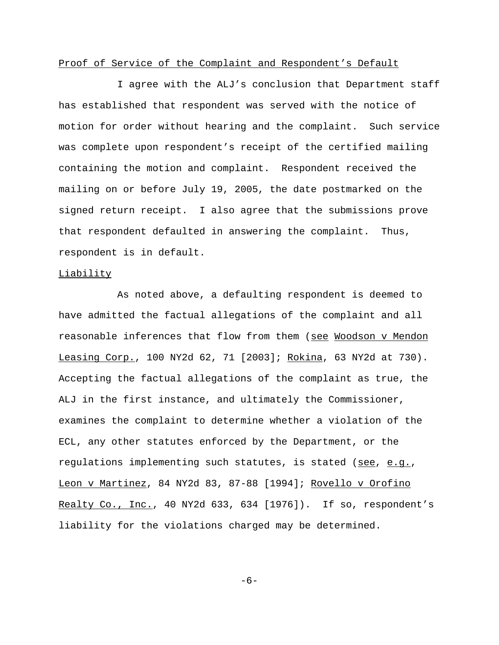# Proof of Service of the Complaint and Respondent's Default

I agree with the ALJ's conclusion that Department staff has established that respondent was served with the notice of motion for order without hearing and the complaint. Such service was complete upon respondent's receipt of the certified mailing containing the motion and complaint. Respondent received the mailing on or before July 19, 2005, the date postmarked on the signed return receipt. I also agree that the submissions prove that respondent defaulted in answering the complaint. Thus, respondent is in default.

## Liability

As noted above, a defaulting respondent is deemed to have admitted the factual allegations of the complaint and all reasonable inferences that flow from them (see Woodson v Mendon Leasing Corp., 100 NY2d 62, 71 [2003]; Rokina, 63 NY2d at 730). Accepting the factual allegations of the complaint as true, the ALJ in the first instance, and ultimately the Commissioner, examines the complaint to determine whether a violation of the ECL, any other statutes enforced by the Department, or the regulations implementing such statutes, is stated (see, e.g., Leon v Martinez, 84 NY2d 83, 87-88 [1994]; Rovello v Orofino Realty Co., Inc., 40 NY2d 633, 634 [1976]). If so, respondent's liability for the violations charged may be determined.

-6-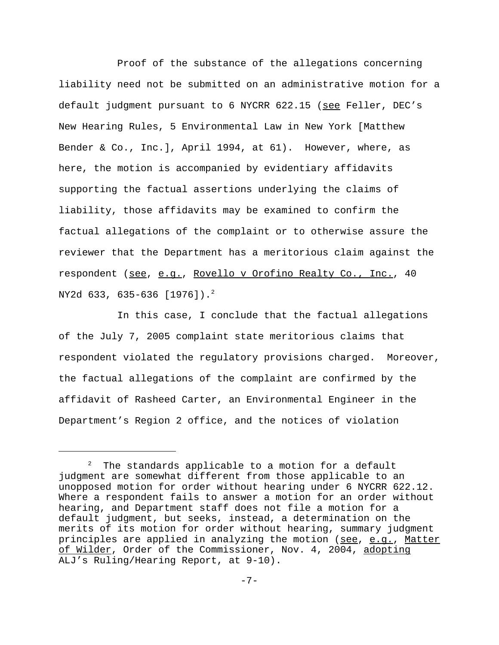Proof of the substance of the allegations concerning liability need not be submitted on an administrative motion for a default judgment pursuant to 6 NYCRR 622.15 (see Feller, DEC's New Hearing Rules, 5 Environmental Law in New York [Matthew Bender & Co., Inc.], April 1994, at 61). However, where, as here, the motion is accompanied by evidentiary affidavits supporting the factual assertions underlying the claims of liability, those affidavits may be examined to confirm the factual allegations of the complaint or to otherwise assure the reviewer that the Department has a meritorious claim against the respondent (see, e.g., Rovello v Orofino Realty Co., Inc., 40 NY2d 633, 635-636 [1976]).2

In this case, I conclude that the factual allegations of the July 7, 2005 complaint state meritorious claims that respondent violated the regulatory provisions charged. Moreover, the factual allegations of the complaint are confirmed by the affidavit of Rasheed Carter, an Environmental Engineer in the Department's Region 2 office, and the notices of violation

 $^2$  The standards applicable to a motion for a default judgment are somewhat different from those applicable to an unopposed motion for order without hearing under 6 NYCRR 622.12. Where a respondent fails to answer a motion for an order without hearing, and Department staff does not file a motion for a default judgment, but seeks, instead, a determination on the merits of its motion for order without hearing, summary judgment principles are applied in analyzing the motion (see, e.g., Matter of Wilder, Order of the Commissioner, Nov. 4, 2004, adopting ALJ's Ruling/Hearing Report, at 9-10).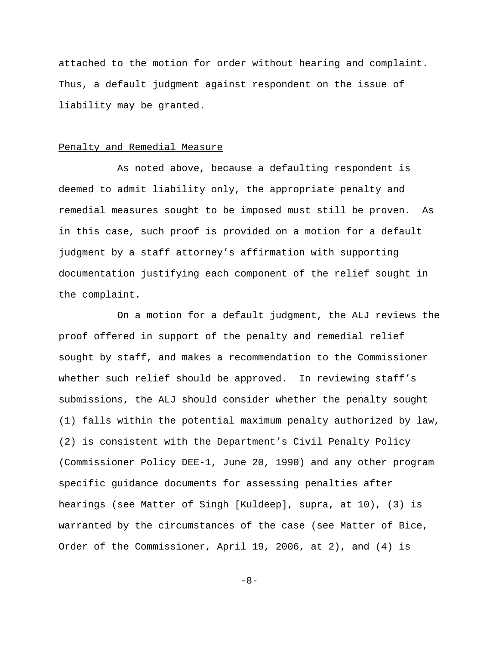attached to the motion for order without hearing and complaint. Thus, a default judgment against respondent on the issue of liability may be granted.

## Penalty and Remedial Measure

As noted above, because a defaulting respondent is deemed to admit liability only, the appropriate penalty and remedial measures sought to be imposed must still be proven. As in this case, such proof is provided on a motion for a default judgment by a staff attorney's affirmation with supporting documentation justifying each component of the relief sought in the complaint.

On a motion for a default judgment, the ALJ reviews the proof offered in support of the penalty and remedial relief sought by staff, and makes a recommendation to the Commissioner whether such relief should be approved. In reviewing staff's submissions, the ALJ should consider whether the penalty sought (1) falls within the potential maximum penalty authorized by law, (2) is consistent with the Department's Civil Penalty Policy (Commissioner Policy DEE-1, June 20, 1990) and any other program specific guidance documents for assessing penalties after hearings (see Matter of Singh [Kuldeep], supra, at 10), (3) is warranted by the circumstances of the case (see Matter of Bice, Order of the Commissioner, April 19, 2006, at 2), and (4) is

-8-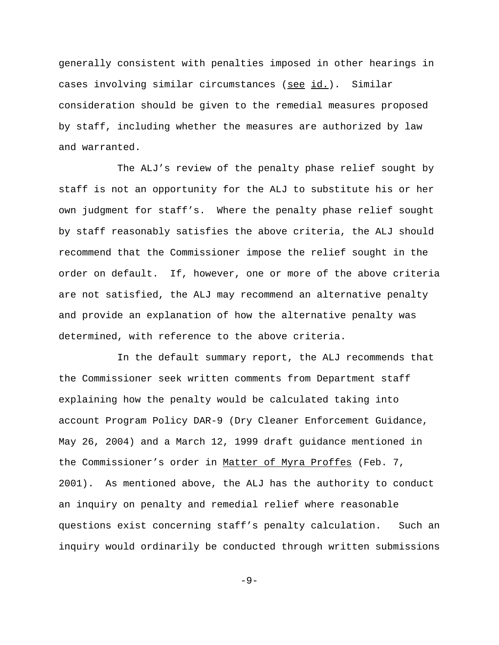generally consistent with penalties imposed in other hearings in cases involving similar circumstances (see id.). Similar consideration should be given to the remedial measures proposed by staff, including whether the measures are authorized by law and warranted.

The ALJ's review of the penalty phase relief sought by staff is not an opportunity for the ALJ to substitute his or her own judgment for staff's. Where the penalty phase relief sought by staff reasonably satisfies the above criteria, the ALJ should recommend that the Commissioner impose the relief sought in the order on default. If, however, one or more of the above criteria are not satisfied, the ALJ may recommend an alternative penalty and provide an explanation of how the alternative penalty was determined, with reference to the above criteria.

In the default summary report, the ALJ recommends that the Commissioner seek written comments from Department staff explaining how the penalty would be calculated taking into account Program Policy DAR-9 (Dry Cleaner Enforcement Guidance, May 26, 2004) and a March 12, 1999 draft guidance mentioned in the Commissioner's order in Matter of Myra Proffes (Feb. 7, 2001). As mentioned above, the ALJ has the authority to conduct an inquiry on penalty and remedial relief where reasonable questions exist concerning staff's penalty calculation. Such an inquiry would ordinarily be conducted through written submissions

 $-9-$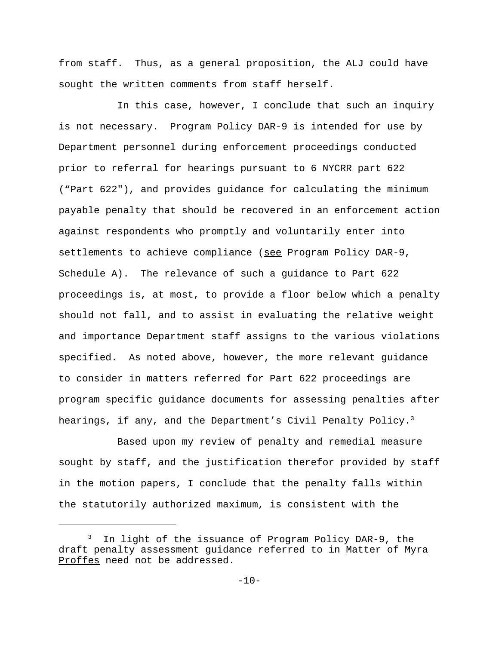from staff. Thus, as a general proposition, the ALJ could have sought the written comments from staff herself.

In this case, however, I conclude that such an inquiry is not necessary. Program Policy DAR-9 is intended for use by Department personnel during enforcement proceedings conducted prior to referral for hearings pursuant to 6 NYCRR part 622 ("Part 622"), and provides guidance for calculating the minimum payable penalty that should be recovered in an enforcement action against respondents who promptly and voluntarily enter into settlements to achieve compliance (see Program Policy DAR-9, Schedule A). The relevance of such a guidance to Part 622 proceedings is, at most, to provide a floor below which a penalty should not fall, and to assist in evaluating the relative weight and importance Department staff assigns to the various violations specified. As noted above, however, the more relevant guidance to consider in matters referred for Part 622 proceedings are program specific guidance documents for assessing penalties after hearings, if any, and the Department's Civil Penalty Policy.<sup>3</sup>

Based upon my review of penalty and remedial measure sought by staff, and the justification therefor provided by staff in the motion papers, I conclude that the penalty falls within the statutorily authorized maximum, is consistent with the

 $3$  In light of the issuance of Program Policy DAR-9, the draft penalty assessment guidance referred to in Matter of Myra Proffes need not be addressed.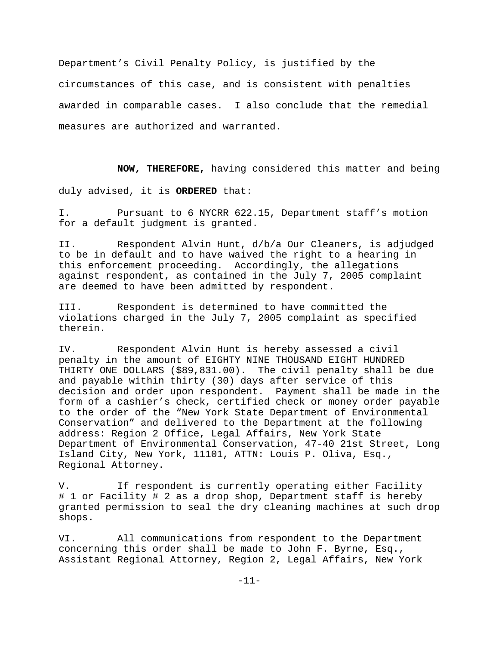Department's Civil Penalty Policy, is justified by the circumstances of this case, and is consistent with penalties awarded in comparable cases. I also conclude that the remedial measures are authorized and warranted.

**NOW, THEREFORE,** having considered this matter and being

duly advised, it is **ORDERED** that:

I. Pursuant to 6 NYCRR 622.15, Department staff's motion for a default judgment is granted.

II. Respondent Alvin Hunt, d/b/a Our Cleaners, is adjudged to be in default and to have waived the right to a hearing in this enforcement proceeding. Accordingly, the allegations against respondent, as contained in the July 7, 2005 complaint are deemed to have been admitted by respondent.

III. Respondent is determined to have committed the violations charged in the July 7, 2005 complaint as specified therein.

IV. Respondent Alvin Hunt is hereby assessed a civil penalty in the amount of EIGHTY NINE THOUSAND EIGHT HUNDRED THIRTY ONE DOLLARS (\$89,831.00). The civil penalty shall be due and payable within thirty (30) days after service of this decision and order upon respondent. Payment shall be made in the form of a cashier's check, certified check or money order payable to the order of the "New York State Department of Environmental Conservation" and delivered to the Department at the following address: Region 2 Office, Legal Affairs, New York State Department of Environmental Conservation, 47-40 21st Street, Long Island City, New York, 11101, ATTN: Louis P. Oliva, Esq., Regional Attorney.

V. If respondent is currently operating either Facility # 1 or Facility # 2 as a drop shop, Department staff is hereby granted permission to seal the dry cleaning machines at such drop shops.

VI. All communications from respondent to the Department concerning this order shall be made to John F. Byrne, Esq., Assistant Regional Attorney, Region 2, Legal Affairs, New York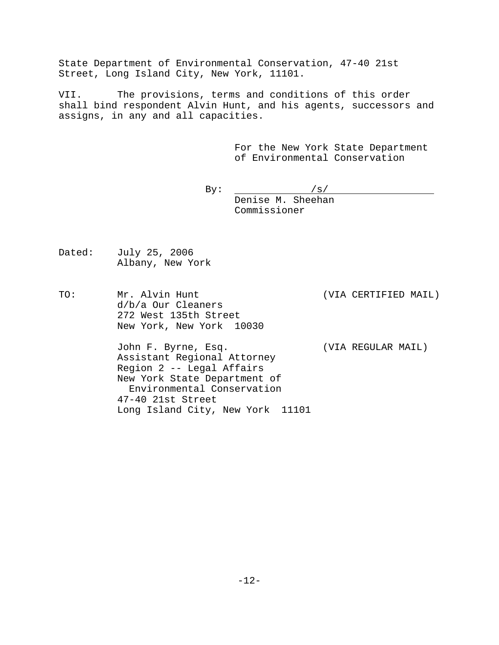State Department of Environmental Conservation, 47-40 21st Street, Long Island City, New York, 11101.

VII. The provisions, terms and conditions of this order shall bind respondent Alvin Hunt, and his agents, successors and assigns, in any and all capacities.

> For the New York State Department of Environmental Conservation

By:  $/s/$ Denise M. Sheehan Commissioner

- Dated: July 25, 2006 Albany, New York
- TO: Mr. Alvin Hunt (VIA CERTIFIED MAIL) d/b/a Our Cleaners 272 West 135th Street New York, New York 10030

John F. Byrne, Esq. (VIA REGULAR MAIL) Assistant Regional Attorney Region 2 -- Legal Affairs New York State Department of Environmental Conservation 47-40 21st Street Long Island City, New York 11101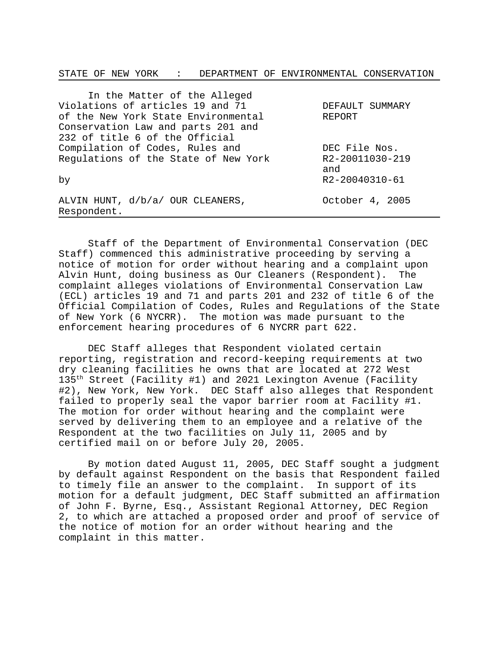STATE OF NEW YORK : DEPARTMENT OF ENVIRONMENTAL CONSERVATION

| In the Matter of the Alleged         |                 |
|--------------------------------------|-----------------|
| Violations of articles 19 and 71     | DEFAULT SUMMARY |
| of the New York State Environmental  | REPORT          |
| Conservation Law and parts 201 and   |                 |
| 232 of title 6 of the Official       |                 |
| Compilation of Codes, Rules and      | DEC File Nos.   |
| Regulations of the State of New York | R2-20011030-219 |
|                                      | and             |
| by                                   | R2-20040310-61  |
|                                      |                 |
| ALVIN HUNT, d/b/a/ OUR CLEANERS,     | October 4, 2005 |
| Respondent.                          |                 |

Staff of the Department of Environmental Conservation (DEC Staff) commenced this administrative proceeding by serving a notice of motion for order without hearing and a complaint upon Alvin Hunt, doing business as Our Cleaners (Respondent). The complaint alleges violations of Environmental Conservation Law (ECL) articles 19 and 71 and parts 201 and 232 of title 6 of the Official Compilation of Codes, Rules and Regulations of the State of New York (6 NYCRR). The motion was made pursuant to the enforcement hearing procedures of 6 NYCRR part 622.

DEC Staff alleges that Respondent violated certain reporting, registration and record-keeping requirements at two dry cleaning facilities he owns that are located at 272 West 135th Street (Facility #1) and 2021 Lexington Avenue (Facility #2), New York, New York. DEC Staff also alleges that Respondent failed to properly seal the vapor barrier room at Facility #1. The motion for order without hearing and the complaint were served by delivering them to an employee and a relative of the Respondent at the two facilities on July 11, 2005 and by certified mail on or before July 20, 2005.

By motion dated August 11, 2005, DEC Staff sought a judgment by default against Respondent on the basis that Respondent failed to timely file an answer to the complaint. In support of its motion for a default judgment, DEC Staff submitted an affirmation of John F. Byrne, Esq., Assistant Regional Attorney, DEC Region 2, to which are attached a proposed order and proof of service of the notice of motion for an order without hearing and the complaint in this matter.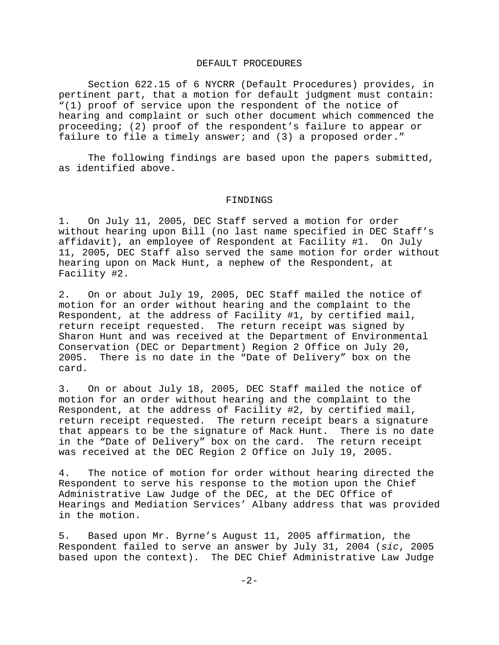#### DEFAULT PROCEDURES

Section 622.15 of 6 NYCRR (Default Procedures) provides, in pertinent part, that a motion for default judgment must contain: "(1) proof of service upon the respondent of the notice of hearing and complaint or such other document which commenced the proceeding; (2) proof of the respondent's failure to appear or failure to file a timely answer; and (3) a proposed order."

The following findings are based upon the papers submitted, as identified above.

#### FINDINGS

1. On July 11, 2005, DEC Staff served a motion for order without hearing upon Bill (no last name specified in DEC Staff's affidavit), an employee of Respondent at Facility #1. On July 11, 2005, DEC Staff also served the same motion for order without hearing upon on Mack Hunt, a nephew of the Respondent, at Facility #2.

2. On or about July 19, 2005, DEC Staff mailed the notice of motion for an order without hearing and the complaint to the Respondent, at the address of Facility #1, by certified mail, return receipt requested. The return receipt was signed by Sharon Hunt and was received at the Department of Environmental Conservation (DEC or Department) Region 2 Office on July 20, 2005. There is no date in the "Date of Delivery" box on the card.

3. On or about July 18, 2005, DEC Staff mailed the notice of motion for an order without hearing and the complaint to the Respondent, at the address of Facility #2, by certified mail, return receipt requested. The return receipt bears a signature that appears to be the signature of Mack Hunt. There is no date in the "Date of Delivery" box on the card. The return receipt was received at the DEC Region 2 Office on July 19, 2005.

4. The notice of motion for order without hearing directed the Respondent to serve his response to the motion upon the Chief Administrative Law Judge of the DEC, at the DEC Office of Hearings and Mediation Services' Albany address that was provided in the motion.

5. Based upon Mr. Byrne's August 11, 2005 affirmation, the Respondent failed to serve an answer by July 31, 2004 (*sic*, 2005 based upon the context). The DEC Chief Administrative Law Judge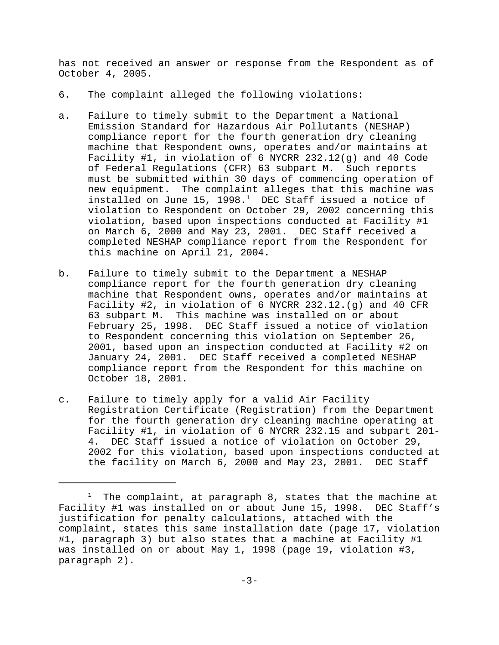has not received an answer or response from the Respondent as of October 4, 2005.

- 6. The complaint alleged the following violations:
- a. Failure to timely submit to the Department a National Emission Standard for Hazardous Air Pollutants (NESHAP) compliance report for the fourth generation dry cleaning machine that Respondent owns, operates and/or maintains at Facility #1, in violation of 6 NYCRR 232.12(g) and 40 Code of Federal Regulations (CFR) 63 subpart M. Such reports must be submitted within 30 days of commencing operation of new equipment. The complaint alleges that this machine was installed on June 15, 1998. $<sup>1</sup>$  DEC Staff issued a notice of</sup> violation to Respondent on October 29, 2002 concerning this violation, based upon inspections conducted at Facility #1 on March 6, 2000 and May 23, 2001. DEC Staff received a completed NESHAP compliance report from the Respondent for this machine on April 21, 2004.
- b. Failure to timely submit to the Department a NESHAP compliance report for the fourth generation dry cleaning machine that Respondent owns, operates and/or maintains at Facility #2, in violation of 6 NYCRR 232.12.(g) and 40 CFR 63 subpart M. This machine was installed on or about February 25, 1998. DEC Staff issued a notice of violation to Respondent concerning this violation on September 26, 2001, based upon an inspection conducted at Facility #2 on January 24, 2001. DEC Staff received a completed NESHAP compliance report from the Respondent for this machine on October 18, 2001.
- c. Failure to timely apply for a valid Air Facility Registration Certificate (Registration) from the Department for the fourth generation dry cleaning machine operating at Facility #1, in violation of 6 NYCRR 232.15 and subpart 201- 4. DEC Staff issued a notice of violation on October 29, 2002 for this violation, based upon inspections conducted at the facility on March 6, 2000 and May 23, 2001. DEC Staff

 $1$  The complaint, at paragraph 8, states that the machine at Facility #1 was installed on or about June 15, 1998. DEC Staff's justification for penalty calculations, attached with the complaint, states this same installation date (page 17, violation #1, paragraph 3) but also states that a machine at Facility #1 was installed on or about May 1, 1998 (page 19, violation #3, paragraph 2).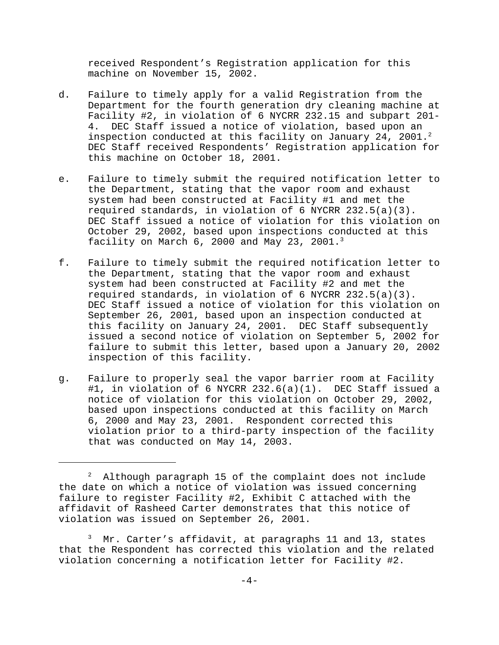received Respondent's Registration application for this machine on November 15, 2002.

- d. Failure to timely apply for a valid Registration from the Department for the fourth generation dry cleaning machine at Facility #2, in violation of 6 NYCRR 232.15 and subpart 201- 4. DEC Staff issued a notice of violation, based upon an inspection conducted at this facility on January 24, 2001.<sup>2</sup> DEC Staff received Respondents' Registration application for this machine on October 18, 2001.
- e. Failure to timely submit the required notification letter to the Department, stating that the vapor room and exhaust system had been constructed at Facility #1 and met the required standards, in violation of 6 NYCRR 232.5(a)(3). DEC Staff issued a notice of violation for this violation on October 29, 2002, based upon inspections conducted at this facility on March 6, 2000 and May 23, 2001.3
- f. Failure to timely submit the required notification letter to the Department, stating that the vapor room and exhaust system had been constructed at Facility #2 and met the required standards, in violation of 6 NYCRR 232.5(a)(3). DEC Staff issued a notice of violation for this violation on September 26, 2001, based upon an inspection conducted at this facility on January 24, 2001. DEC Staff subsequently issued a second notice of violation on September 5, 2002 for failure to submit this letter, based upon a January 20, 2002 inspection of this facility.
- g. Failure to properly seal the vapor barrier room at Facility #1, in violation of 6 NYCRR 232.6(a)(1). DEC Staff issued a notice of violation for this violation on October 29, 2002, based upon inspections conducted at this facility on March 6, 2000 and May 23, 2001. Respondent corrected this violation prior to a third-party inspection of the facility that was conducted on May 14, 2003.

 $^2$  Although paragraph 15 of the complaint does not include the date on which a notice of violation was issued concerning failure to register Facility #2, Exhibit C attached with the affidavit of Rasheed Carter demonstrates that this notice of violation was issued on September 26, 2001.

 $3$  Mr. Carter's affidavit, at paragraphs 11 and 13, states that the Respondent has corrected this violation and the related violation concerning a notification letter for Facility #2.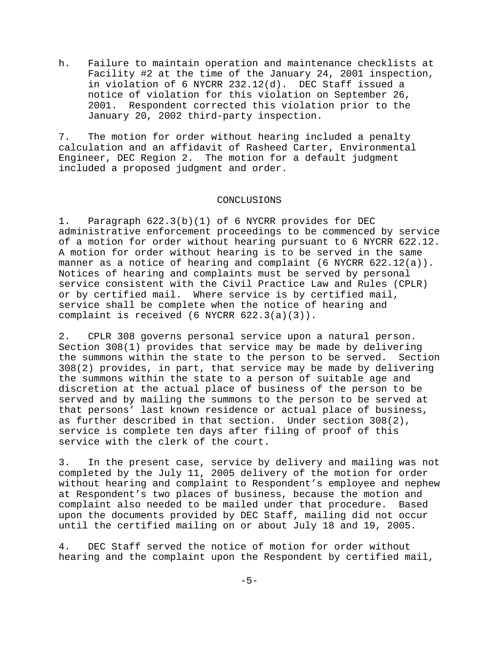h. Failure to maintain operation and maintenance checklists at Facility #2 at the time of the January 24, 2001 inspection, in violation of 6 NYCRR 232.12(d). DEC Staff issued a notice of violation for this violation on September 26, 2001. Respondent corrected this violation prior to the January 20, 2002 third-party inspection.

7. The motion for order without hearing included a penalty calculation and an affidavit of Rasheed Carter, Environmental Engineer, DEC Region 2. The motion for a default judgment included a proposed judgment and order.

#### CONCLUSIONS

1. Paragraph 622.3(b)(1) of 6 NYCRR provides for DEC administrative enforcement proceedings to be commenced by service of a motion for order without hearing pursuant to 6 NYCRR 622.12. A motion for order without hearing is to be served in the same manner as a notice of hearing and complaint (6 NYCRR 622.12(a)). Notices of hearing and complaints must be served by personal service consistent with the Civil Practice Law and Rules (CPLR) or by certified mail. Where service is by certified mail, service shall be complete when the notice of hearing and complaint is received (6 NYCRR 622.3(a)(3)).

2. CPLR 308 governs personal service upon a natural person. Section 308(1) provides that service may be made by delivering the summons within the state to the person to be served. Section 308(2) provides, in part, that service may be made by delivering the summons within the state to a person of suitable age and discretion at the actual place of business of the person to be served and by mailing the summons to the person to be served at that persons' last known residence or actual place of business, as further described in that section. Under section 308(2), service is complete ten days after filing of proof of this service with the clerk of the court.

3. In the present case, service by delivery and mailing was not completed by the July 11, 2005 delivery of the motion for order without hearing and complaint to Respondent's employee and nephew at Respondent's two places of business, because the motion and complaint also needed to be mailed under that procedure. Based upon the documents provided by DEC Staff, mailing did not occur until the certified mailing on or about July 18 and 19, 2005.

4. DEC Staff served the notice of motion for order without hearing and the complaint upon the Respondent by certified mail,